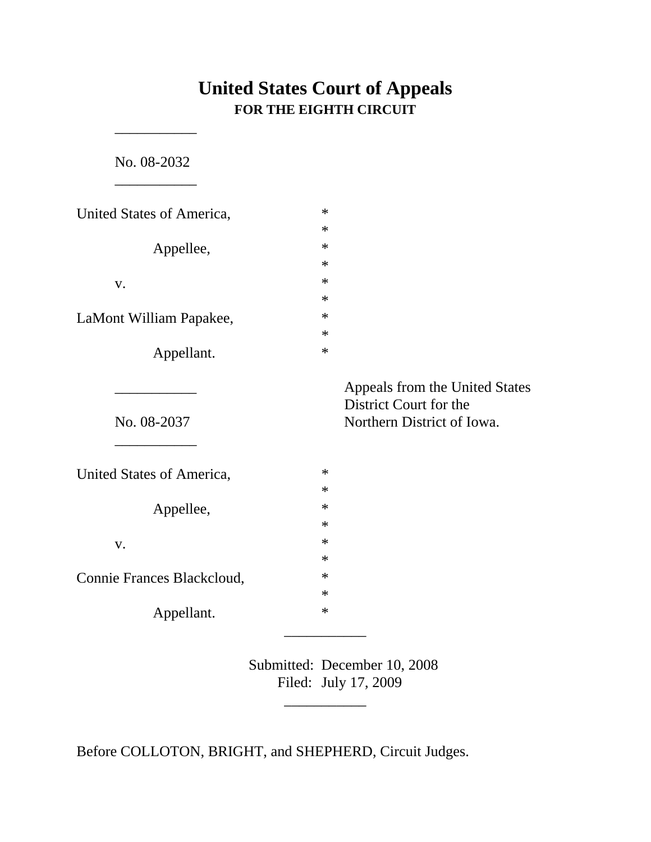# **United States Court of Appeals FOR THE EIGHTH CIRCUIT**

No. 08-2032

\_\_\_\_\_\_\_\_\_\_\_

\_\_\_\_\_\_\_\_\_\_\_

| United States of America,  | $\ast$                         |
|----------------------------|--------------------------------|
|                            | $\ast$                         |
| Appellee,                  | $\ast$                         |
|                            | $\ast$                         |
| V.                         | $\ast$                         |
|                            | $\ast$                         |
| LaMont William Papakee,    | $\ast$                         |
|                            | $\ast$                         |
| Appellant.                 | $\ast$                         |
|                            |                                |
|                            | Appeals from the United States |
|                            | District Court for the         |
| No. 08-2037                | Northern District of Iowa.     |
|                            |                                |
| United States of America,  | $\ast$                         |
|                            | $\ast$                         |
| Appellee,                  | $\ast$                         |
|                            | $\ast$                         |
| V.                         | $\ast$                         |
|                            | $\ast$                         |
| Connie Frances Blackcloud, | $\ast$                         |
|                            | $\ast$                         |
| Appellant.                 | $\ast$                         |
|                            |                                |

Submitted: December 10, 2008 Filed: July 17, 2009

\_\_\_\_\_\_\_\_\_\_\_

Before COLLOTON, BRIGHT, and SHEPHERD, Circuit Judges.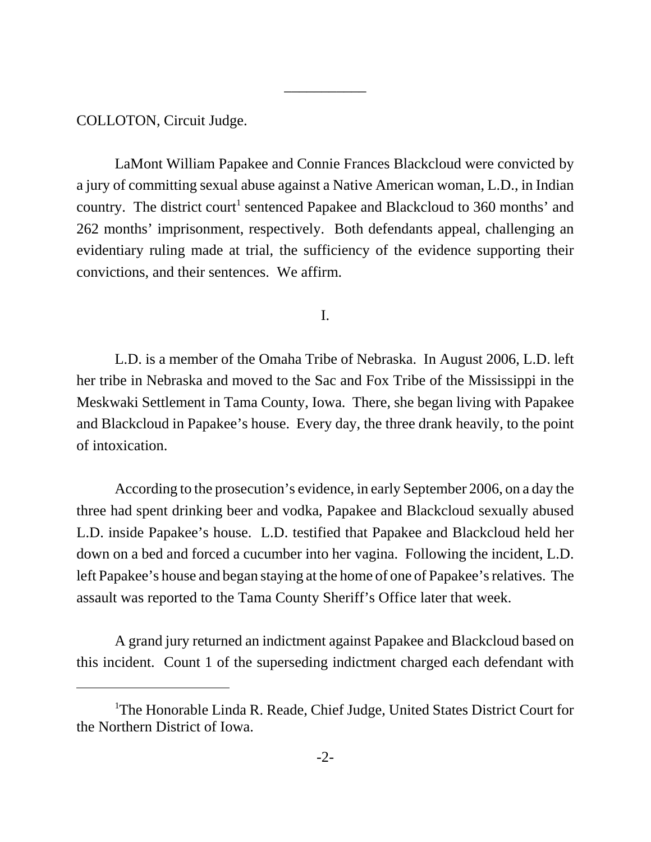COLLOTON, Circuit Judge.

LaMont William Papakee and Connie Frances Blackcloud were convicted by a jury of committing sexual abuse against a Native American woman, L.D., in Indian country. The district court<sup>1</sup> sentenced Papakee and Blackcloud to 360 months' and 262 months' imprisonment, respectively. Both defendants appeal, challenging an evidentiary ruling made at trial, the sufficiency of the evidence supporting their convictions, and their sentences. We affirm.

\_\_\_\_\_\_\_\_\_\_\_

I.

L.D. is a member of the Omaha Tribe of Nebraska. In August 2006, L.D. left her tribe in Nebraska and moved to the Sac and Fox Tribe of the Mississippi in the Meskwaki Settlement in Tama County, Iowa. There, she began living with Papakee and Blackcloud in Papakee's house. Every day, the three drank heavily, to the point of intoxication.

According to the prosecution's evidence, in early September 2006, on a day the three had spent drinking beer and vodka, Papakee and Blackcloud sexually abused L.D. inside Papakee's house. L.D. testified that Papakee and Blackcloud held her down on a bed and forced a cucumber into her vagina. Following the incident, L.D. left Papakee's house and began staying at the home of one of Papakee's relatives. The assault was reported to the Tama County Sheriff's Office later that week.

A grand jury returned an indictment against Papakee and Blackcloud based on this incident. Count 1 of the superseding indictment charged each defendant with

<sup>&</sup>lt;sup>1</sup>The Honorable Linda R. Reade, Chief Judge, United States District Court for the Northern District of Iowa.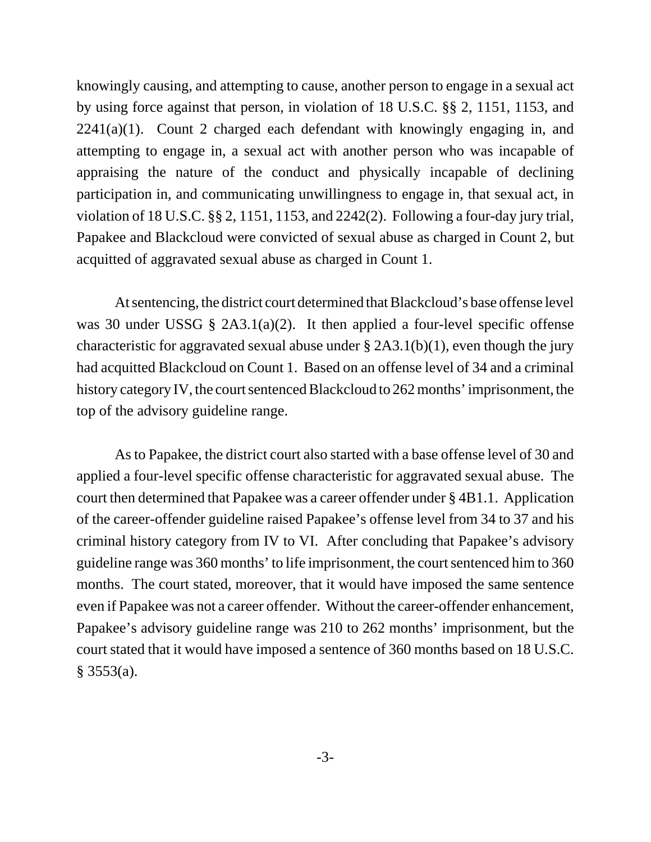knowingly causing, and attempting to cause, another person to engage in a sexual act by using force against that person, in violation of 18 U.S.C. §§ 2, 1151, 1153, and  $2241(a)(1)$ . Count 2 charged each defendant with knowingly engaging in, and attempting to engage in, a sexual act with another person who was incapable of appraising the nature of the conduct and physically incapable of declining participation in, and communicating unwillingness to engage in, that sexual act, in violation of 18 U.S.C. §§ 2, 1151, 1153, and 2242(2). Following a four-day jury trial, Papakee and Blackcloud were convicted of sexual abuse as charged in Count 2, but acquitted of aggravated sexual abuse as charged in Count 1.

At sentencing, the district court determined that Blackcloud's base offense level was 30 under USSG § 2A3.1(a)(2). It then applied a four-level specific offense characteristic for aggravated sexual abuse under  $\S$  2A3.1(b)(1), even though the jury had acquitted Blackcloud on Count 1. Based on an offense level of 34 and a criminal history category IV, the court sentenced Blackcloud to 262 months' imprisonment, the top of the advisory guideline range.

As to Papakee, the district court also started with a base offense level of 30 and applied a four-level specific offense characteristic for aggravated sexual abuse. The court then determined that Papakee was a career offender under § 4B1.1. Application of the career-offender guideline raised Papakee's offense level from 34 to 37 and his criminal history category from IV to VI. After concluding that Papakee's advisory guideline range was 360 months' to life imprisonment, the court sentenced him to 360 months. The court stated, moreover, that it would have imposed the same sentence even if Papakee was not a career offender. Without the career-offender enhancement, Papakee's advisory guideline range was 210 to 262 months' imprisonment, but the court stated that it would have imposed a sentence of 360 months based on 18 U.S.C.  $§$  3553(a).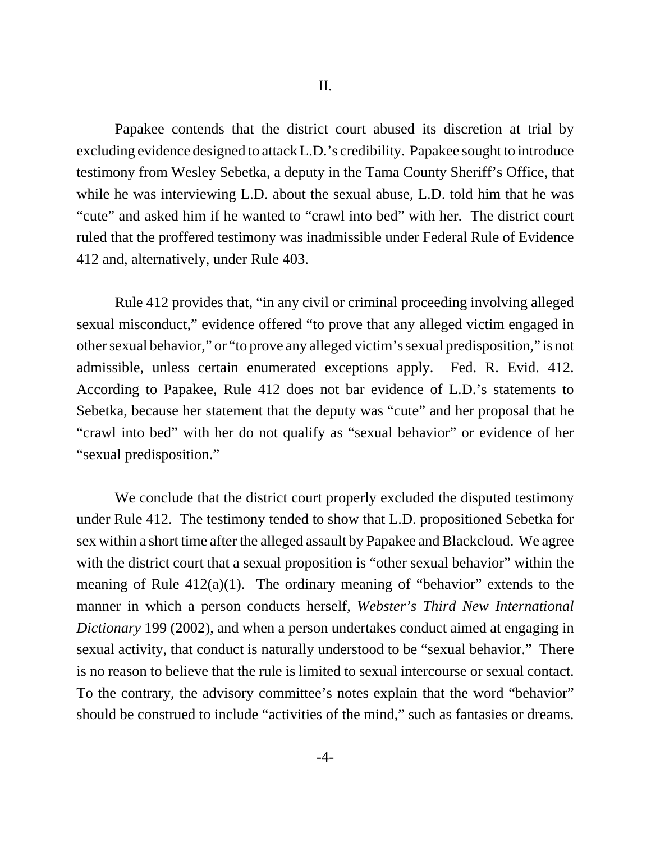Papakee contends that the district court abused its discretion at trial by excluding evidence designed to attack L.D.'s credibility. Papakee sought to introduce testimony from Wesley Sebetka, a deputy in the Tama County Sheriff's Office, that while he was interviewing L.D. about the sexual abuse, L.D. told him that he was "cute" and asked him if he wanted to "crawl into bed" with her. The district court ruled that the proffered testimony was inadmissible under Federal Rule of Evidence 412 and, alternatively, under Rule 403.

Rule 412 provides that, "in any civil or criminal proceeding involving alleged sexual misconduct," evidence offered "to prove that any alleged victim engaged in other sexual behavior," or "to prove any alleged victim's sexual predisposition," is not admissible, unless certain enumerated exceptions apply. Fed. R. Evid. 412. According to Papakee, Rule 412 does not bar evidence of L.D.'s statements to Sebetka, because her statement that the deputy was "cute" and her proposal that he "crawl into bed" with her do not qualify as "sexual behavior" or evidence of her "sexual predisposition."

We conclude that the district court properly excluded the disputed testimony under Rule 412. The testimony tended to show that L.D. propositioned Sebetka for sex within a short time after the alleged assault by Papakee and Blackcloud. We agree with the district court that a sexual proposition is "other sexual behavior" within the meaning of Rule  $412(a)(1)$ . The ordinary meaning of "behavior" extends to the manner in which a person conducts herself, *Webster's Third New International Dictionary* 199 (2002), and when a person undertakes conduct aimed at engaging in sexual activity, that conduct is naturally understood to be "sexual behavior." There is no reason to believe that the rule is limited to sexual intercourse or sexual contact. To the contrary, the advisory committee's notes explain that the word "behavior" should be construed to include "activities of the mind," such as fantasies or dreams.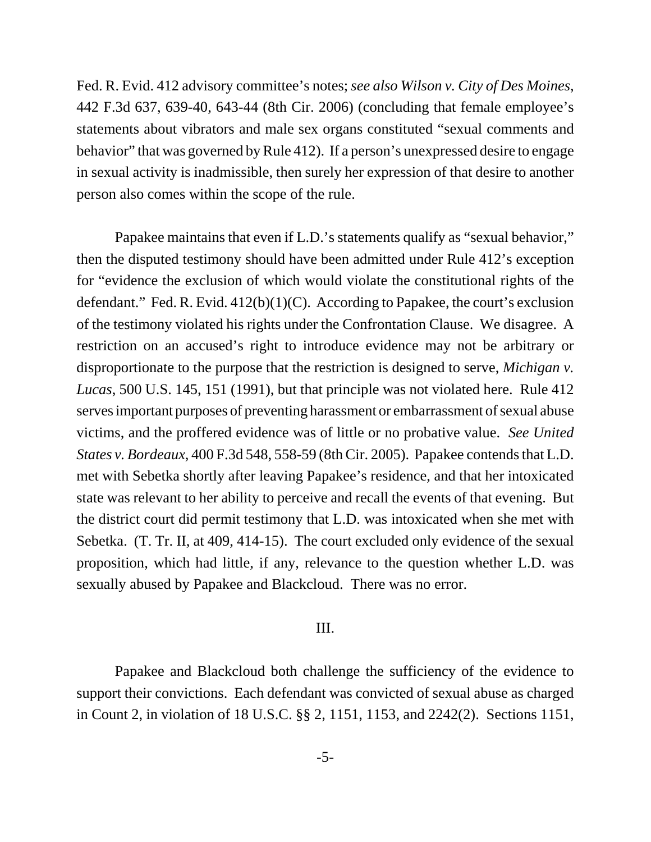Fed. R. Evid. 412 advisory committee's notes; *see also Wilson v. City of Des Moines*, 442 F.3d 637, 639-40, 643-44 (8th Cir. 2006) (concluding that female employee's statements about vibrators and male sex organs constituted "sexual comments and behavior" that was governed by Rule 412). If a person's unexpressed desire to engage in sexual activity is inadmissible, then surely her expression of that desire to another person also comes within the scope of the rule.

Papakee maintains that even if L.D.'s statements qualify as "sexual behavior," then the disputed testimony should have been admitted under Rule 412's exception for "evidence the exclusion of which would violate the constitutional rights of the defendant." Fed. R. Evid.  $412(b)(1)(C)$ . According to Papakee, the court's exclusion of the testimony violated his rights under the Confrontation Clause. We disagree. A restriction on an accused's right to introduce evidence may not be arbitrary or disproportionate to the purpose that the restriction is designed to serve, *Michigan v. Lucas*, 500 U.S. 145, 151 (1991), but that principle was not violated here. Rule 412 serves important purposes of preventing harassment or embarrassment of sexual abuse victims, and the proffered evidence was of little or no probative value. *See United States v. Bordeaux*, 400 F.3d 548, 558-59 (8th Cir. 2005). Papakee contends that L.D. met with Sebetka shortly after leaving Papakee's residence, and that her intoxicated state was relevant to her ability to perceive and recall the events of that evening. But the district court did permit testimony that L.D. was intoxicated when she met with Sebetka. (T. Tr. II, at 409, 414-15). The court excluded only evidence of the sexual proposition, which had little, if any, relevance to the question whether L.D. was sexually abused by Papakee and Blackcloud. There was no error.

## III.

Papakee and Blackcloud both challenge the sufficiency of the evidence to support their convictions. Each defendant was convicted of sexual abuse as charged in Count 2, in violation of 18 U.S.C. §§ 2, 1151, 1153, and 2242(2). Sections 1151,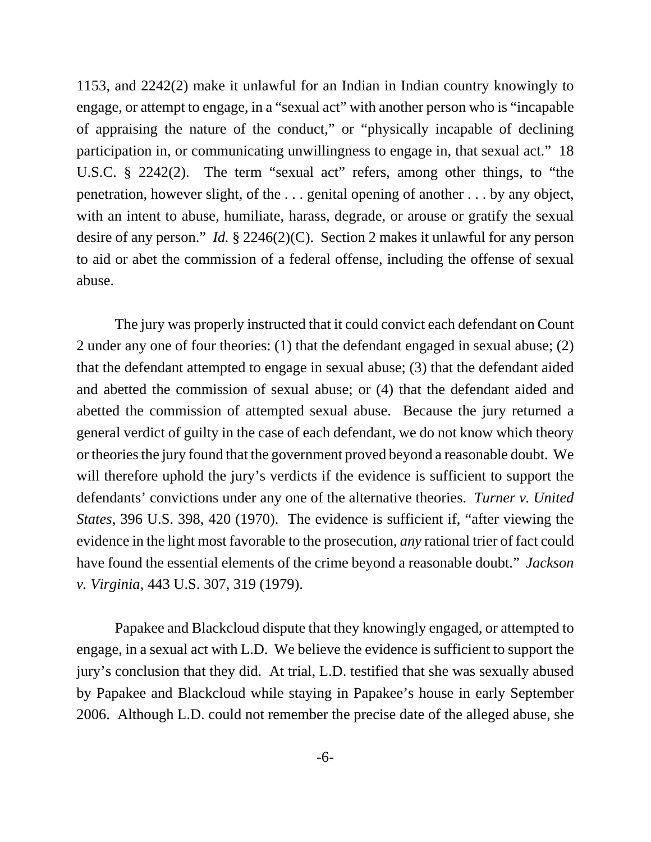1153, and 2242(2) make it unlawful for an Indian in Indian country knowingly to engage, or attempt to engage, in a "sexual act" with another person who is "incapable of appraising the nature of the conduct," or "physically incapable of declining participation in, or communicating unwillingness to engage in, that sexual act." 18 U.S.C. § 2242(2). The term "sexual act" refers, among other things, to "the penetration, however slight, of the . . . genital opening of another . . . by any object, with an intent to abuse, humiliate, harass, degrade, or arouse or gratify the sexual desire of any person." *Id.* § 2246(2)(C). Section 2 makes it unlawful for any person to aid or abet the commission of a federal offense, including the offense of sexual abuse.

The jury was properly instructed that it could convict each defendant on Count 2 under any one of four theories: (1) that the defendant engaged in sexual abuse; (2) that the defendant attempted to engage in sexual abuse; (3) that the defendant aided and abetted the commission of sexual abuse; or (4) that the defendant aided and abetted the commission of attempted sexual abuse. Because the jury returned a general verdict of guilty in the case of each defendant, we do not know which theory or theories the jury found that the government proved beyond a reasonable doubt. We will therefore uphold the jury's verdicts if the evidence is sufficient to support the defendants' convictions under any one of the alternative theories. *Turner v. United States*, 396 U.S. 398, 420 (1970). The evidence is sufficient if, "after viewing the evidence in the light most favorable to the prosecution, *any* rational trier of fact could have found the essential elements of the crime beyond a reasonable doubt." *Jackson v. Virginia*, 443 U.S. 307, 319 (1979).

Papakee and Blackcloud dispute that they knowingly engaged, or attempted to engage, in a sexual act with L.D. We believe the evidence is sufficient to support the jury's conclusion that they did. At trial, L.D. testified that she was sexually abused by Papakee and Blackcloud while staying in Papakee's house in early September 2006. Although L.D. could not remember the precise date of the alleged abuse, she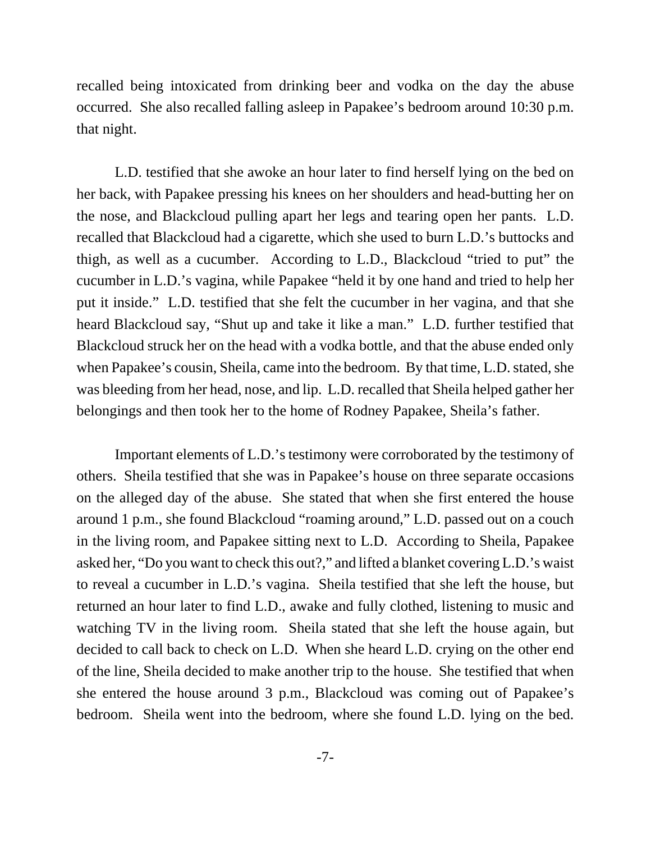recalled being intoxicated from drinking beer and vodka on the day the abuse occurred. She also recalled falling asleep in Papakee's bedroom around 10:30 p.m. that night.

L.D. testified that she awoke an hour later to find herself lying on the bed on her back, with Papakee pressing his knees on her shoulders and head-butting her on the nose, and Blackcloud pulling apart her legs and tearing open her pants. L.D. recalled that Blackcloud had a cigarette, which she used to burn L.D.'s buttocks and thigh, as well as a cucumber. According to L.D., Blackcloud "tried to put" the cucumber in L.D.'s vagina, while Papakee "held it by one hand and tried to help her put it inside." L.D. testified that she felt the cucumber in her vagina, and that she heard Blackcloud say, "Shut up and take it like a man." L.D. further testified that Blackcloud struck her on the head with a vodka bottle, and that the abuse ended only when Papakee's cousin, Sheila, came into the bedroom. By that time, L.D. stated, she was bleeding from her head, nose, and lip. L.D. recalled that Sheila helped gather her belongings and then took her to the home of Rodney Papakee, Sheila's father.

Important elements of L.D.'s testimony were corroborated by the testimony of others. Sheila testified that she was in Papakee's house on three separate occasions on the alleged day of the abuse. She stated that when she first entered the house around 1 p.m., she found Blackcloud "roaming around," L.D. passed out on a couch in the living room, and Papakee sitting next to L.D. According to Sheila, Papakee asked her, "Do you want to check this out?," and lifted a blanket covering L.D.'s waist to reveal a cucumber in L.D.'s vagina. Sheila testified that she left the house, but returned an hour later to find L.D., awake and fully clothed, listening to music and watching TV in the living room. Sheila stated that she left the house again, but decided to call back to check on L.D. When she heard L.D. crying on the other end of the line, Sheila decided to make another trip to the house. She testified that when she entered the house around 3 p.m., Blackcloud was coming out of Papakee's bedroom. Sheila went into the bedroom, where she found L.D. lying on the bed.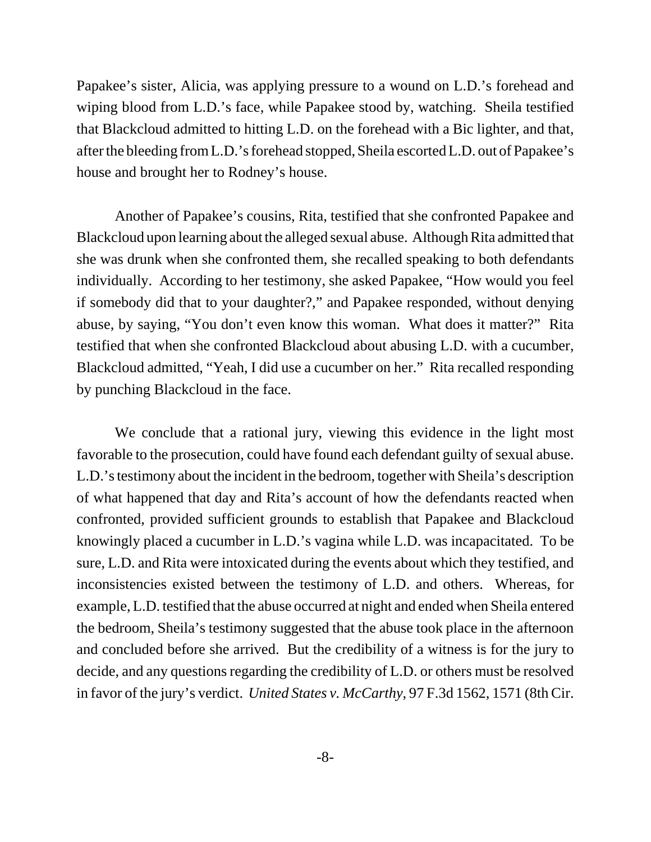Papakee's sister, Alicia, was applying pressure to a wound on L.D.'s forehead and wiping blood from L.D.'s face, while Papakee stood by, watching. Sheila testified that Blackcloud admitted to hitting L.D. on the forehead with a Bic lighter, and that, after the bleeding from L.D.'s forehead stopped, Sheila escorted L.D. out of Papakee's house and brought her to Rodney's house.

Another of Papakee's cousins, Rita, testified that she confronted Papakee and Blackcloud upon learning about the alleged sexual abuse. Although Rita admitted that she was drunk when she confronted them, she recalled speaking to both defendants individually. According to her testimony, she asked Papakee, "How would you feel if somebody did that to your daughter?," and Papakee responded, without denying abuse, by saying, "You don't even know this woman. What does it matter?" Rita testified that when she confronted Blackcloud about abusing L.D. with a cucumber, Blackcloud admitted, "Yeah, I did use a cucumber on her." Rita recalled responding by punching Blackcloud in the face.

We conclude that a rational jury, viewing this evidence in the light most favorable to the prosecution, could have found each defendant guilty of sexual abuse. L.D.'s testimony about the incident in the bedroom, together with Sheila's description of what happened that day and Rita's account of how the defendants reacted when confronted, provided sufficient grounds to establish that Papakee and Blackcloud knowingly placed a cucumber in L.D.'s vagina while L.D. was incapacitated. To be sure, L.D. and Rita were intoxicated during the events about which they testified, and inconsistencies existed between the testimony of L.D. and others. Whereas, for example, L.D. testified that the abuse occurred at night and ended when Sheila entered the bedroom, Sheila's testimony suggested that the abuse took place in the afternoon and concluded before she arrived. But the credibility of a witness is for the jury to decide, and any questions regarding the credibility of L.D. or others must be resolved in favor of the jury's verdict. *United States v. McCarthy*, 97 F.3d 1562, 1571 (8th Cir.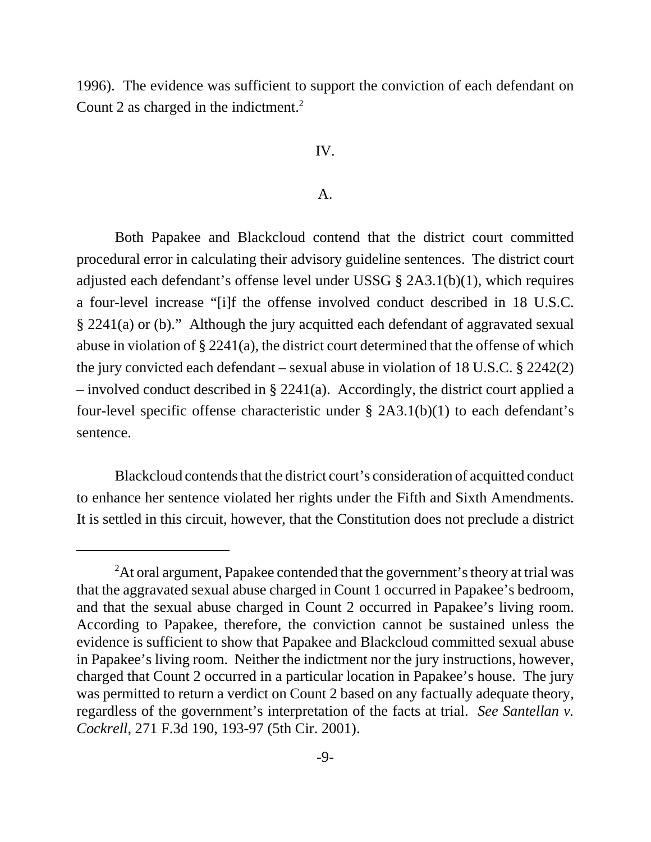1996). The evidence was sufficient to support the conviction of each defendant on Count 2 as charged in the indictment.<sup>2</sup>

#### IV.

## A.

Both Papakee and Blackcloud contend that the district court committed procedural error in calculating their advisory guideline sentences. The district court adjusted each defendant's offense level under USSG § 2A3.1(b)(1), which requires a four-level increase "[i]f the offense involved conduct described in 18 U.S.C. § 2241(a) or (b)." Although the jury acquitted each defendant of aggravated sexual abuse in violation of § 2241(a), the district court determined that the offense of which the jury convicted each defendant – sexual abuse in violation of 18 U.S.C. § 2242(2) – involved conduct described in § 2241(a). Accordingly, the district court applied a four-level specific offense characteristic under  $\S$  2A3.1(b)(1) to each defendant's sentence.

Blackcloud contends that the district court's consideration of acquitted conduct to enhance her sentence violated her rights under the Fifth and Sixth Amendments. It is settled in this circuit, however, that the Constitution does not preclude a district

 $2$ At oral argument, Papakee contended that the government's theory at trial was that the aggravated sexual abuse charged in Count 1 occurred in Papakee's bedroom, and that the sexual abuse charged in Count 2 occurred in Papakee's living room. According to Papakee, therefore, the conviction cannot be sustained unless the evidence is sufficient to show that Papakee and Blackcloud committed sexual abuse in Papakee's living room. Neither the indictment nor the jury instructions, however, charged that Count 2 occurred in a particular location in Papakee's house. The jury was permitted to return a verdict on Count 2 based on any factually adequate theory, regardless of the government's interpretation of the facts at trial. *See Santellan v. Cockrell*, 271 F.3d 190, 193-97 (5th Cir. 2001).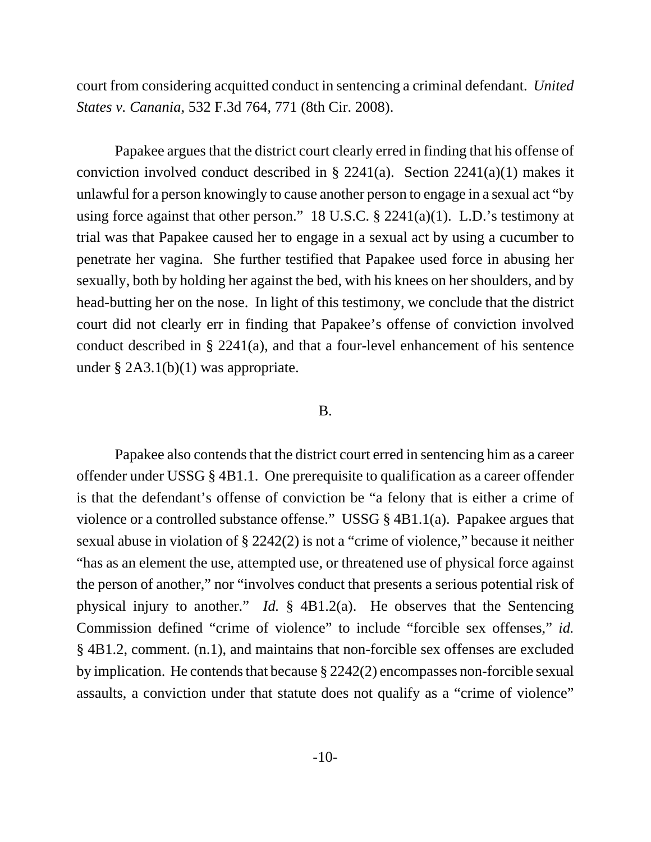court from considering acquitted conduct in sentencing a criminal defendant. *United States v. Canania*, 532 F.3d 764, 771 (8th Cir. 2008).

Papakee argues that the district court clearly erred in finding that his offense of conviction involved conduct described in § 2241(a). Section 2241(a)(1) makes it unlawful for a person knowingly to cause another person to engage in a sexual act "by using force against that other person." 18 U.S.C.  $\S$  2241(a)(1). L.D.'s testimony at trial was that Papakee caused her to engage in a sexual act by using a cucumber to penetrate her vagina. She further testified that Papakee used force in abusing her sexually, both by holding her against the bed, with his knees on her shoulders, and by head-butting her on the nose. In light of this testimony, we conclude that the district court did not clearly err in finding that Papakee's offense of conviction involved conduct described in § 2241(a), and that a four-level enhancement of his sentence under  $\S 2A3.1(b)(1)$  was appropriate.

### B.

Papakee also contends that the district court erred in sentencing him as a career offender under USSG § 4B1.1. One prerequisite to qualification as a career offender is that the defendant's offense of conviction be "a felony that is either a crime of violence or a controlled substance offense." USSG § 4B1.1(a). Papakee argues that sexual abuse in violation of § 2242(2) is not a "crime of violence," because it neither "has as an element the use, attempted use, or threatened use of physical force against the person of another," nor "involves conduct that presents a serious potential risk of physical injury to another." *Id.* § 4B1.2(a). He observes that the Sentencing Commission defined "crime of violence" to include "forcible sex offenses," *id.* § 4B1.2, comment. (n.1), and maintains that non-forcible sex offenses are excluded by implication. He contends that because § 2242(2) encompasses non-forcible sexual assaults, a conviction under that statute does not qualify as a "crime of violence"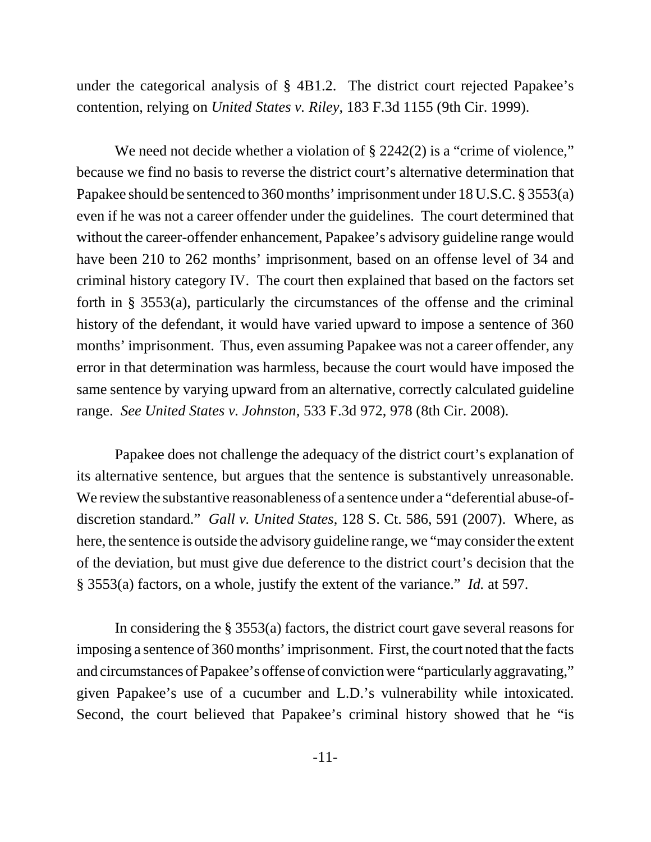under the categorical analysis of § 4B1.2. The district court rejected Papakee's contention, relying on *United States v. Riley*, 183 F.3d 1155 (9th Cir. 1999).

We need not decide whether a violation of § 2242(2) is a "crime of violence," because we find no basis to reverse the district court's alternative determination that Papakee should be sentenced to 360 months' imprisonment under 18 U.S.C. § 3553(a) even if he was not a career offender under the guidelines. The court determined that without the career-offender enhancement, Papakee's advisory guideline range would have been 210 to 262 months' imprisonment, based on an offense level of 34 and criminal history category IV. The court then explained that based on the factors set forth in  $\S$  3553(a), particularly the circumstances of the offense and the criminal history of the defendant, it would have varied upward to impose a sentence of 360 months' imprisonment. Thus, even assuming Papakee was not a career offender, any error in that determination was harmless, because the court would have imposed the same sentence by varying upward from an alternative, correctly calculated guideline range. *See United States v. Johnston*, 533 F.3d 972, 978 (8th Cir. 2008).

Papakee does not challenge the adequacy of the district court's explanation of its alternative sentence, but argues that the sentence is substantively unreasonable. We review the substantive reasonableness of a sentence under a "deferential abuse-ofdiscretion standard." *Gall v. United States*, 128 S. Ct. 586, 591 (2007). Where, as here, the sentence is outside the advisory guideline range, we "may consider the extent of the deviation, but must give due deference to the district court's decision that the § 3553(a) factors, on a whole, justify the extent of the variance." *Id.* at 597.

In considering the § 3553(a) factors, the district court gave several reasons for imposing a sentence of 360 months' imprisonment. First, the court noted that the facts and circumstances of Papakee's offense of conviction were "particularly aggravating," given Papakee's use of a cucumber and L.D.'s vulnerability while intoxicated. Second, the court believed that Papakee's criminal history showed that he "is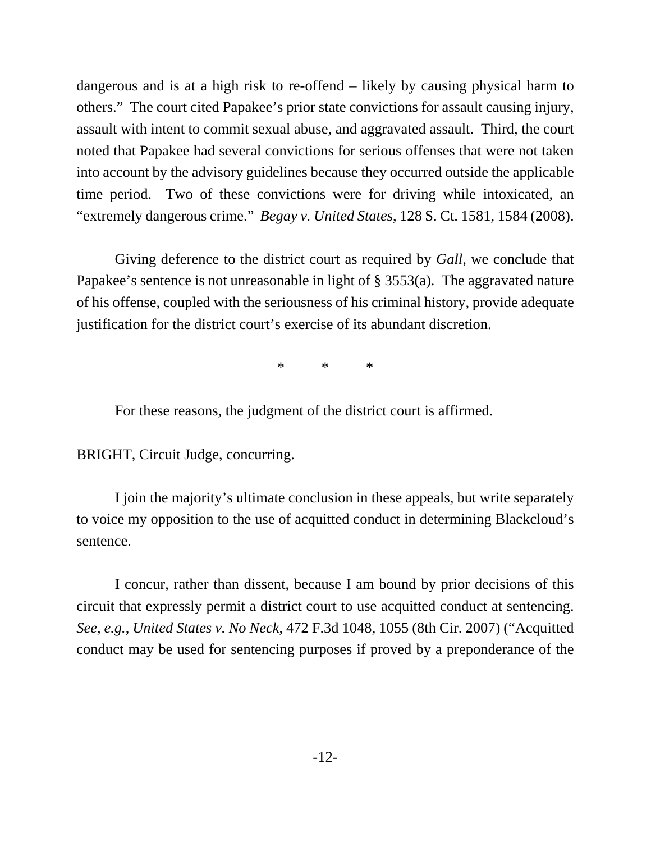dangerous and is at a high risk to re-offend – likely by causing physical harm to others." The court cited Papakee's prior state convictions for assault causing injury, assault with intent to commit sexual abuse, and aggravated assault. Third, the court noted that Papakee had several convictions for serious offenses that were not taken into account by the advisory guidelines because they occurred outside the applicable time period. Two of these convictions were for driving while intoxicated, an "extremely dangerous crime." *Begay v. United States*, 128 S. Ct. 1581, 1584 (2008).

Giving deference to the district court as required by *Gall*, we conclude that Papakee's sentence is not unreasonable in light of § 3553(a). The aggravated nature of his offense, coupled with the seriousness of his criminal history, provide adequate justification for the district court's exercise of its abundant discretion.

\* \* \*

For these reasons, the judgment of the district court is affirmed.

BRIGHT, Circuit Judge, concurring.

I join the majority's ultimate conclusion in these appeals, but write separately to voice my opposition to the use of acquitted conduct in determining Blackcloud's sentence.

I concur, rather than dissent, because I am bound by prior decisions of this circuit that expressly permit a district court to use acquitted conduct at sentencing. *See, e.g.*, *United States v. No Neck*, 472 F.3d 1048, 1055 (8th Cir. 2007) ("Acquitted conduct may be used for sentencing purposes if proved by a preponderance of the